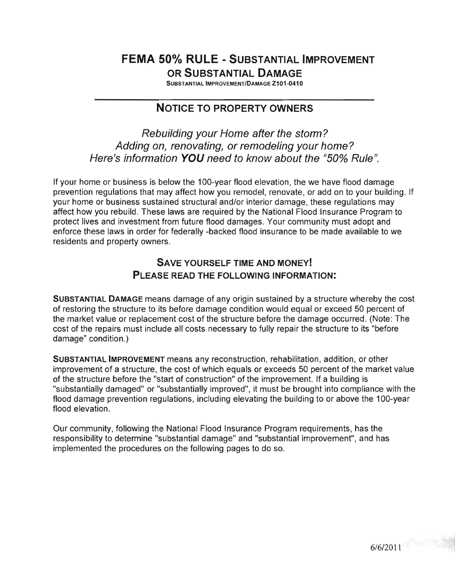## **FEMA 50% RULE - SUBSTANTIAL IMPROVEMENT OR SUBSTANTIAL DAMAGE**

SUBSTANTIAL IMPROVEMENT/DAMAGE Z101-0410

### **NOTICE TO PROPERTY OWNERS**

Rebuilding your Home after the storm? Adding on, renovating, or remodeling your home? Here's information **YOU** need to know about the "50% Rule",

If your home or business is below the 100-year flood elevation, the we have flood damage prevention regulations that may affect how you remodel, renovate, or add on to your building. If your home or business sustained structural and/or interior damage, these regulations may affect how you rebuild. These laws are required by the National Flood Insurance Program to protect lives and investment from future flood damages. Your community must adopt and enforce these laws in order for federally -backed flood insurance to be made available to we residents and property owners.

### **SAVE YOURSELF TIME AND MONEY! PLEASE READ THE FOLLOWING INFORMATION:**

**SUBSTANTIAL DAMAGE** means damage of any origin sustained by a structure whereby the cost of restoring the structure to its before damage condition would equal or exceed 50 percent of the market value or replacement cost of the structure before the damage occurred. (Note: The cost of the repairs must include all costs necessary to fully repair the structure to its "before damage" condition .)

**SUBSTANTIAL IMPROVEMENT** means any reconstruction, rehabilitation, addition, or other improvement of a structure, the cost of which equals or exceeds 50 percent of the market value of the structure before the "start of construction" of the improvement. If a building is "substantially damaged" or "substantially improved", it must be brought into compliance with the flood damage prevention regulations, including elevating the building to or above the 100-year flood elevation.

Our community, following the National Flood Insurance Program requirements, has the responsibility to determine "substantial damage" and "substantial improvement", and has implemented the procedures on the following pages to do so.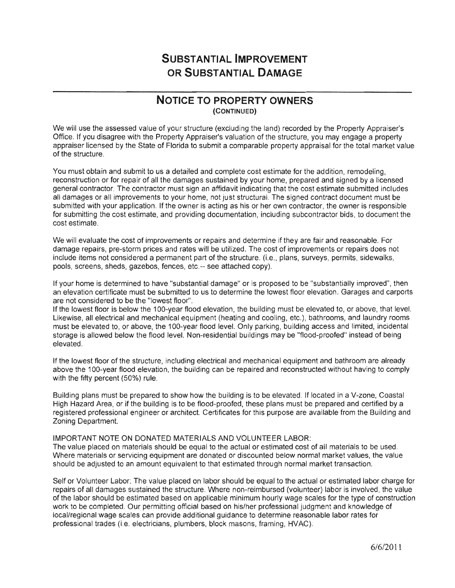### NOTICE TO PROPERTY OWNERS (CONTINUED)

We will use the assessed value of your structure (excluding the land) recorded by the Property Appraiser's Office. If you disagree with the Property Appraiser's valuation of the structure, you may engage a property appraiser licensed by the State of Florida to submit a comparable property appraisal for the total market value of the structure.

You must obtain and submit to us a detailed and complete cost estimate for the addition, remodeling, reconstruction or for repair of all the damages sustained by your home, prepared and signed by a licensed general contractor. The contractor must sign an affidavit indicating that the cost estimate submitted includes all damages or all improvements to your home, not just structural. The signed contract document must be submitted with your application. If the owner is acting as his or her own contractor, the owner is responsible for submitting the cost estimate, and providing documentation, including subcontractor bids, to document the cost estimate.

We will evaluate the cost of improvements or repairs and determine if they are fair and reasonable. For damage repairs, pre-storm prices and rates will be utilized. The cost of improvements or repairs does not include items not considered a permanent part of the structure. (i.e., plans, surveys, permits, sidewalks, pools, screens, sheds, gazebos, fences, etc.-- see attached copy).

If your home is determined to have "substantial damage" or is proposed to be "substantially improved", then an elevation certificate must be submitted to us to determine the lowest floor elevation. Garages and carports are not considered to be the "lowest floor".

If the lowest floor is below the 100-year flood elevation, the building must be elevated to, or a Likewise, all electrical and mechanical equipment (heating and cooling, etc.), bathrooms, and laundry rooms must be elevated to, or above, the 100-year flood level. Only parking, building access and limited, incidental storage is allowed below the flood level. Non-residential buildings may be "flood-proofed" instead of being elevated.

If the lowest floor of the structure, including electrical and mechanical equipment and bathroom are already above the 100-year flood elevation, the building can be repaired and reconstructed without having to comply with the fifty percent (50%) rule.

Building plans must be prepared to show how the building is to be elevated. If located in a V-zone, Coastal High Hazard Area, or if the building is to be flood-proofed, these plans must be prepared and certified by a registered professional engineer or architect. Certificates for this purpose are available from the Building and Zoning Department.

#### IMPORTANT NOTE ON DONATED MATERIALS AND VOLUNTEER LABOR:

The value placed on materials should be equal to the actual or estimated cost of all materials to be used. Where materials or servicing equipment are donated or discounted below normal market values, the value should be adjusted to an amount equivalent to that estimated through normal market transaction.

Self or Volunteer Labor: The value placed on labor should be equal to the actual or estimated labor charge for repairs of all damages sustained the structure. Where non-reimbursed (volunteer) labor is involved, the value of the labor should be estimated based on applicable minimum hourly wage scales for the type of construction work to be completed. Our permitting official based on his/her professional judgment and knowledge of local/regional wage scales can provide additional guidance to determine reasonable labor rates for professional trades (i.e. electricians, plumbers, block masons, framing, HVAC).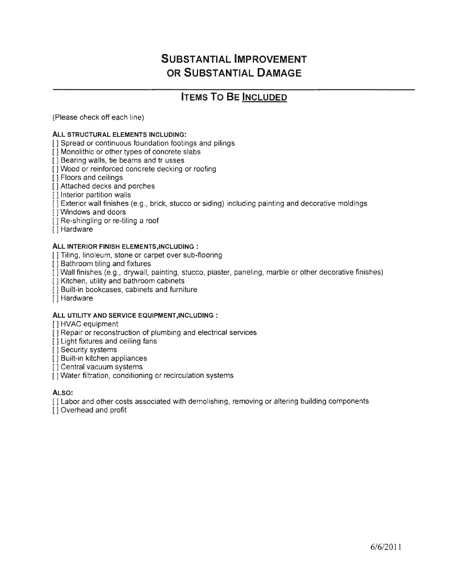## **ITEMS TO BE INCLUDED**

(Please check off each line)

#### ALL STRUCTURAL ELEMENTS INCLUDING:

[ ] Spread or continuous foundation footings and pilings

[ ] Monolithic or other types of concrete slabs

[ ] Bearing walls, tie beams and tr usses

[ ] Wood or reinforced concrete decking or roofing

- [ J Floors and ceilings
- [ ] Attached decks and porches

[] Interior partition walls

[] Exterior wall finishes (e.g., brick, stucco or siding) including painting and decorative moldings

[ ] Windows and doors

 $[$ ] Re-shingling or re-tiling a roof

[1] Hardware

#### ALL INTERIOR FINISH ELEMENTS, INCLUDING :

[1] Tiling, linoleum, stone or carpet over sub-flooring

[ ] Bathroom tiling and fixtures

[ ] Wall finishes (e.g., drywall, painting, stucco, plaster, paneling, marble or other decorative finishes)

[ ] Kitchen, utility and bathroom cabinets

[ ] Built-in bookcases, cabinets and furniture

[] Hardware

### ALL UTILITY AND SERVICE EQUIPMENT,INCLUDING :

[1 HVAC equipment

[ ] Repair or reconstruction of plumbing and electrical services

[ ] Light fixtures and ceiling fans

[] Security systems

[ ] Built-in kitchen appliances

[] Central vacuum systems

[ ] Water filtration, conditioning or recirculation systems

ALSO:

[] Labor and other costs associated with demolishing, removing or altering building components

[ ] Overhead and profit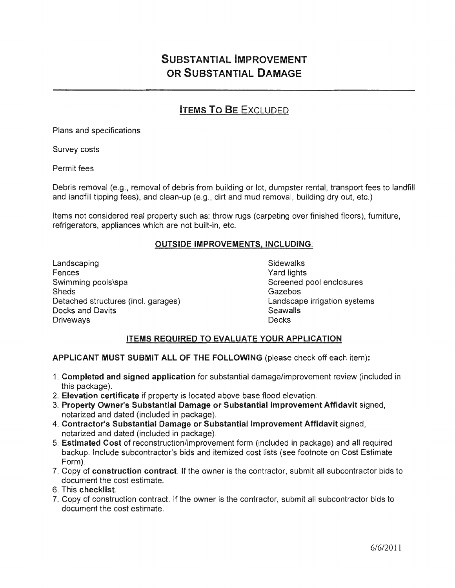## **ITEMS TO BE EXCLUDED**

Plans and specifications

Survey costs

Permit fees

Debris removal (e.g., removal of debris from building or lot, dumpster rental, transport fees to landfill and landfill tipping fees), and clean-up (e.g., dirt and mud removal, building dry out, etc.)

Items not considered real property such as: throw rugs (carpeting over finished floors), furniture, refrigerators, appliances which are not built-in, etc.

### **OUTSIDE IMPROVEMENTS, INCLUDING:**

Landscaping Sidewalks Fences Swimming pools\spa Swimming pools\spa Screened pool enclosures **Sheds** Detached structures (incl. garages) The Contract Landscape irrigation systems **Docks and Davits Contract Contract Contract Contract Contract Contract Contract Contract Contract Contract Contract Contract Contract Contract Contract Contract Contract Contract Contract Contract Contract Contract Cont Driveways** 

Yard lights Gazebos **Decks** 

### ITEMS REQUIRED TO EVALUATE YOUR APPLICATION

APPLICANT MUST SUBMIT ALL OF THE FOLLOWING (please check off each item):

- 1. Completed and signed application for substantial damage/improvement review (included in this package).
- 2. Elevation certificate if property is located above base flood elevation.
- 3. Property Owner's Substantial Damage or Substantial Improvement Affidavit signed, notarized and dated (included in package).
- 4. Contractor's Substantial Damage or Substantial Improvement Affidavit signed, notarized and dated (included in package).
- 5. Estimated Cost of reconstruction/improvement form (included in package) and all required backup. Include subcontractor's bids and itemized cost lists (see footnote on Cost Estimate Form).
- 7. Copy of construction contract. If the owner is the contractor, submit all subcontractor bids to document the cost estimate.
- 6. This checklist.
- 7. Copy of construction contract. If the owner is the contractor, submit all subcontractor bids to document the cost estimate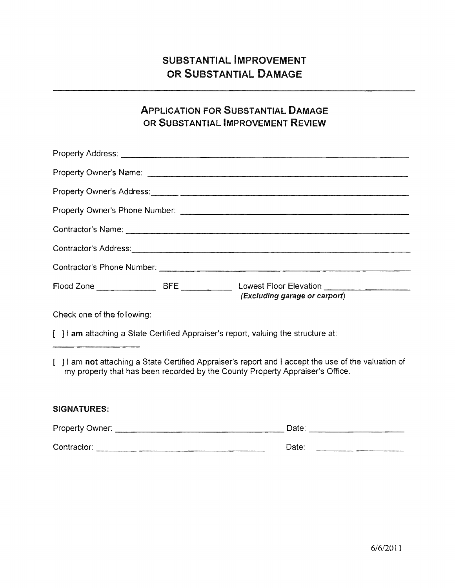## ApPLICATION FOR SUBSTANTIAL DAMAGE OR SUBSTANTIAL IMPROVEMENT REVIEW

| Contractor's Address: 2008 Contractor's Address:                                                                                                                                  |                               |  |  |
|-----------------------------------------------------------------------------------------------------------------------------------------------------------------------------------|-------------------------------|--|--|
|                                                                                                                                                                                   |                               |  |  |
|                                                                                                                                                                                   | (Excluding garage or carport) |  |  |
| Check one of the following:                                                                                                                                                       |                               |  |  |
| [ ] I am attaching a State Certified Appraiser's report, valuing the structure at:                                                                                                |                               |  |  |
| 1 am not attaching a State Certified Appraiser's report and I accept the use of the valuation of<br>my property that has been recorded by the County Property Appraiser's Office. |                               |  |  |
| <b>SIGNATURES:</b>                                                                                                                                                                |                               |  |  |
|                                                                                                                                                                                   |                               |  |  |

Contractor: \_\_\_\_\_\_\_\_\_\_\_\_\_\_\_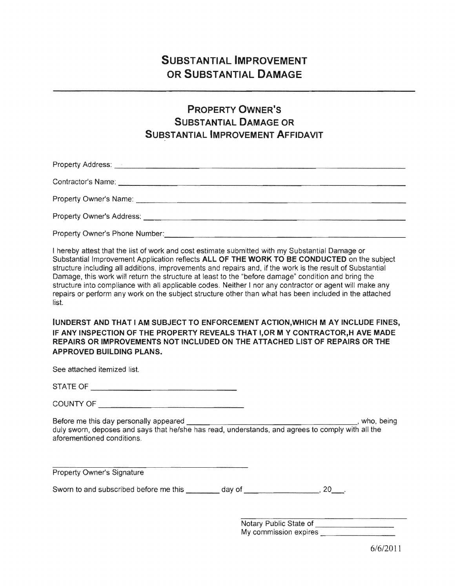## PROPERTY OWNER'S SUBSTANTIAL DAMAGE OR **SUBSTANTIAL IMPROVEMENT AFFIDAVIT**

Property Address: \_\_\_\_\_\_\_\_\_\_\_\_\_\_\_\_\_\_\_\_\_\_\_\_\_\_\_\_\_\_

Contractor's Name: \_\_\_\_\_\_\_\_\_\_\_\_\_\_\_\_\_\_\_\_\_\_\_\_\_\_\_\_\_

\_\_\_\_\_\_\_\_\_\_\_\_\_\_\_\_\_\_\_\_\_\_\_\_\_\_ \_ ........",,,...-tu Owner's Name:

Property Owner's Address: \_\_\_\_\_\_\_\_\_\_\_\_\_\_\_\_\_\_\_\_\_\_\_\_\_\_

Property Owner's Phone Number: The Contract of the Contract of the Contract of the Contract of the Contract of the Contract of the Contract of the Contract of the Contract of the Contract of the Contract of the Contract of

I hereby attest that the list of work and cost estimate submitted with my Substantial Damage or Substantial Improvement Application reflects ALL OF THE WORK TO BE CONDUCTED on the subject structure including all additions, improvements and repairs and, if the work is the result of Substantial Damage, this work will return the structure at least to the "before damage" condition and bring the structure into compliance with all applicable codes. Neither I nor any contractor or agent will make any repairs or perform any work on the subject structure other than what has been included in the attached list.

IUNDERST AND THAT I AM SUBJECT TO ENFORCEMENT ACTION, WHICH M AY INCLUDE FINES, IF ANY INSPECTION OF THE PROPERTY REVEALS THAT I,OR MY CONTRACTOR,H AVE MADE REPAIRS OR IMPROVEMENTS NOT INCLUDED ON THE ATTACHED LIST OF REPAIRS OR THE APPROVED BUILDING PLANS.

See attached itemized list.

STATE

Before me this day personally \_\_\_\_\_\_\_\_\_\_\_\_\_\_\_\_\_\_, who, duly sworn, deposes and says that he/she has read, understands, and agrees to comply with all the aforementioned conditions.

**Property Owner's Signature** 

Sworn to and subscribed before me this \_\_\_\_\_\_\_ day of \_\_\_\_\_\_\_\_\_\_\_\_\_\_\_\_\_\_\_\_\_\_\_\_\_\_\_, 20\_\_\_\_.

Notary Public State of<br>My commission expires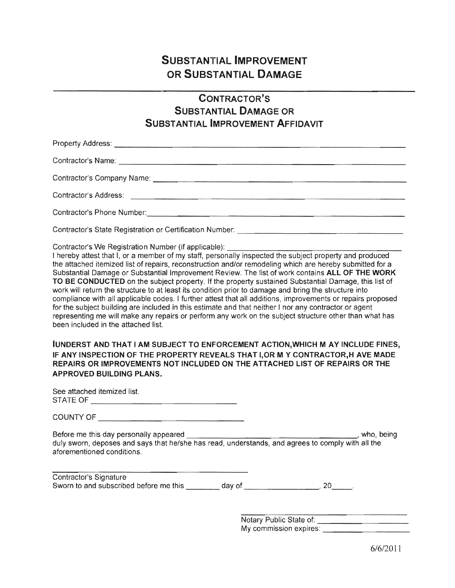### CONTRACTOR'S SUBSTANTIAL DAMAGE OR SUBSTANTIAL IMPROVEMENT AFFIDAVIT

------------------------------------------------------- Contractor's Name:

Contractor's Company Name: \_\_\_\_\_\_\_\_\_\_\_\_\_\_\_\_\_\_\_\_\_\_\_\_\_\_\_\_\_\_\_\_\_\_\_\_\_\_\_\_\_\_\_\_\_\_\_\_

Contractor's Address:

Contractor's Phone

Contractor's State Registration or Certification Number: \_\_\_\_\_\_\_\_\_\_\_\_\_\_\_\_\_\_\_\_\_\_\_

Contractor's We Registration Number (if applicable):

I hereby attest that I, or a member of my staff, personally inspected the subject property and produced the attached itemized list of repairs, reconstruction and/or remodeling which are hereby submitted for a Substantial Damage or Substantial Improvement Review. The list of work contains ALL OF THE WORK TO BE CONDUCTED on the subject property. If the property sustained Substantial Damage, this list of work will return the structure to at least its condition prior to damage and bring the structure into compliance with all applicable codes. I further attest that all additions, improvements or repairs proposed for the subject building are included in this estimate and that neither I nor any contractor or agent representing me will make any repairs or perform any work on the subject structure other than what has been included in the attached list.

IUNDERST AND THAT I AM SUBJECT TO ENFORCEMENT ACTION,WHICH MAY INCLUDE FINES, IF ANY INSPECTION OF THE PROPERTY REVEALS THAT I,OR MY CONTRACTOR,H AVE MADE REPAIRS OR IMPROVEMENTS NOT INCLUDED ON THE ATTACHED LIST OF REPAIRS OR THE APPROVED BUILDING PLANS.

| See attached itemized list. |
|-----------------------------|
| STATE OF                    |

COUNTY OF

Before me this day personally appeared \_\_\_\_\_\_\_\_\_\_\_\_\_\_\_\_\_\_\_\_\_\_\_\_\_\_\_\_\_-,-' who, being duly sworn, deposes and says that he/she has read, understands, and agrees to comply with all the aforementioned conditions.

| Contractor's Signature                  |        |  |
|-----------------------------------------|--------|--|
| Sworn to and subscribed before me this. | dav of |  |

Notary Public State of: \_\_\_\_\_\_\_\_\_\_\_\_\_\_\_\_\_ My commission expires: